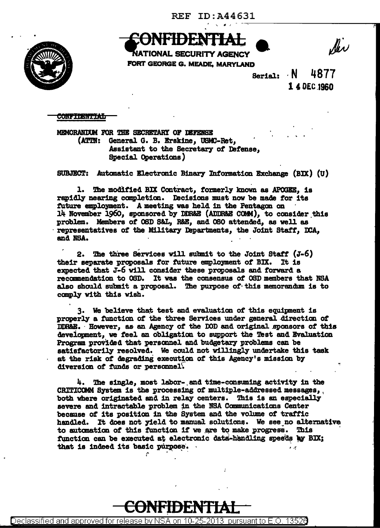$\cdot$  ,  $\cdot$  ,



Ser

**NATIONAL SECURITY AGENCY** FORT GEORGE G. MEADE, MARYLAND

Serial: N 4877 14 OEC.1960

**CONFIDENTIAL** 

MEMORANDUM FOR THE SECRETARY OF DEFENSE (ATTN: General G. B. Erskine, USMC-Ret, Assistant to the Secretary of Defense, Special Operations)

SUBJECT: Autmatic Electronic Binary Information Exchange (BIX) (U)

1. The modified BIX Contract, formerly known as APOGEE, is rapidly nearing completion. Decisions must now be made for its future employment. A meeting was held in the Pentagon on 14 November 1960, sponsored by DDR&E (ADDR&E COMM), to consider this problem. Members of OSD S&L, R&E, and OSO attended, as well as representatives of the Military Departments, the Joint Staff, DCA, and NSA.

2. !he three services will sulmit to the Joint Staff (J-6) their separate proposals for future employment of BIX. It is expected that J-6 will consider these proposals and forward a recamnendation to OSD. It was the consensus of OSD members that NBA also should submit a proposal. The purpose of this memorandum is to comply with this wish.

3. We believe that test and evaluation of this equipment is properly a function of the three Services under general direction of DDR&E. However, as an Agency of the DOD and original sponsors of this development, we feel an obligation to support the Test and Evaluation Program provided that personnel and budgetary problems can be satisfactorily resolved. We could not willingly undertake this task at the risk of degrading execution of this Agency's mission by diversion of funds or personnel.

4. The single, most labor-. and tme-consuming activity in the CRITICOMM System is the processing of multiple-addressed messages,, both where originated and in relay centers. This is an especially severe and intractable problem in the NSA Communications Center because of its position in the System and the volume of traffic handled. It does not yield to manual solutions. We see no alternative to automation of this function if we are to make progress. This to automation of this function if we are to make progress. function can be executed at electronic data-handling speeds by BIX; that is indeed its basic purpose. *r* 

CONFIDENTIAL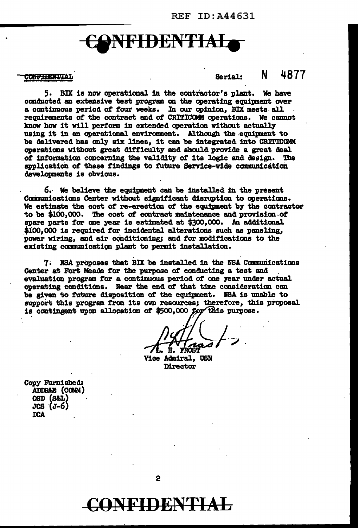## CjNFIDEN'fIAI

## **CONFIBENTIAL**

Serial: N 4877

5. BIX is now operaticaal in the contractor' a plant. We have conducted an extensive teat program ca the operating equipment over a continuous period of tour weeks. In our opinion, BIX meets. all . requirements of the contract and of CRITICOMM operations. We cannot know how it will perform in extended operation without actually using it in an operational environment. Although the .equipaent to be delivered has only six lines, it can be integrated into CRITICOMM operations without great difficulty and should provide a great deal of information concerning the validity of its logic and design. The application of these findings to future Service-wide communication developments is obvious.

*6.·* We believe the equipnent can be installed in the present Cammunications Center without significant disruption to operations. We estimate the cost of re-erection of the equipment by the contractor to be \$100,000. The cost of contract maintenance and provision of spare parts for one year is estimated at  $$300,000$ . An additional \$100.000 is required for incidental alterations such as paneling. power wiring, and air conditioning; and for modifications to the existing communication plant to permit installation.

7 ~ NBA proposes that BJX be installed in the NSA Cmmwiicatians Center at Fort Meads for the purpose *ot* conducting a teat and . evaluation program *tor* a continuous period *ot* one year under actual operating conditions. Near the end of that time consideration can be given to future dispositicm *ot* the equipnent. IBA is unable to support this program from its own resources; therefore, this proposal is contingent upon allocation of  $$500,000$  for this purpose.

. .

Vice Admiral, USN **Mrector** 

Copy Furnished: .<br>ADDR&B (COMM)<br>OSD (S&L)  $JCS$   $(J-6)$ :ooA

CONFIDENTIAL